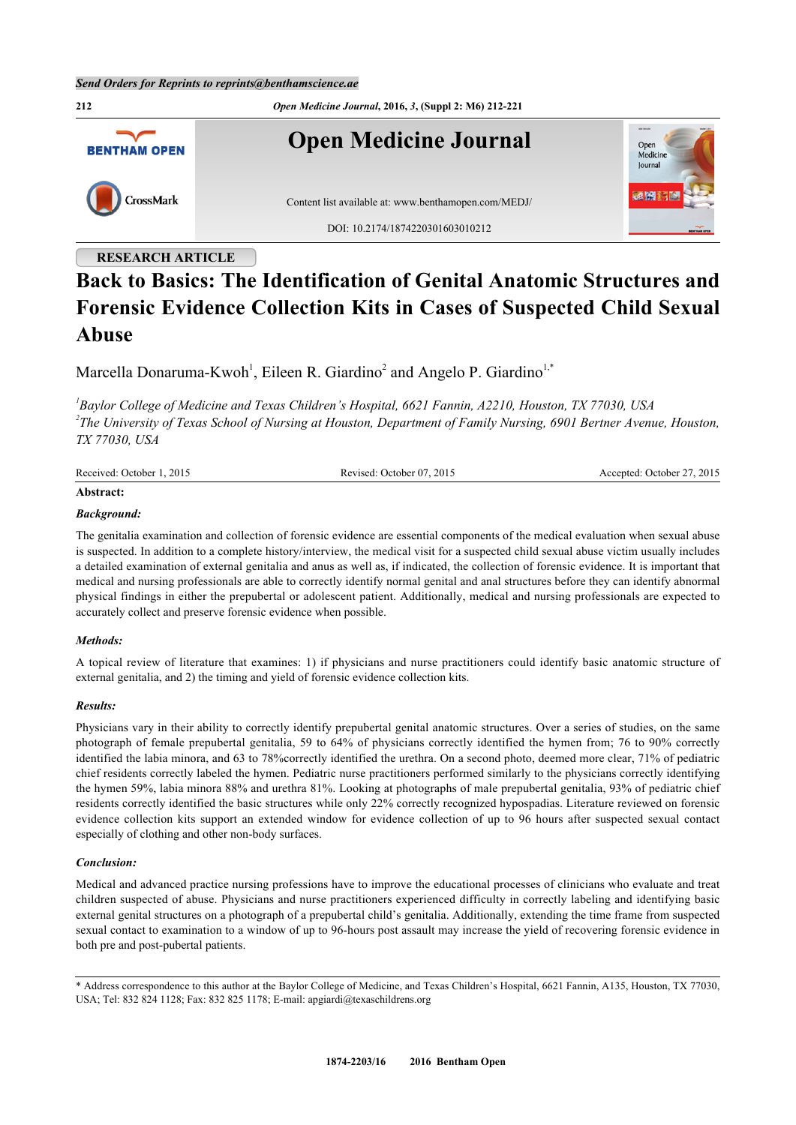

# **RESEARCH ARTICLE**

# **Back to Basics: The Identification of Genital Anatomic Structures and Forensic Evidence Collection Kits in Cases of Suspected Child Sexual Abuse**

Marcella Donaruma-Kwoh<sup>[1](#page-0-0)</sup>, Eileen R. Giardino<sup>[2](#page-0-1)</sup> and Angelo P. Giardino<sup>[1,](#page-0-0)[\\*](#page-0-2)</sup>

<span id="page-0-1"></span><span id="page-0-0"></span>*1 Baylor College of Medicine and Texas Children's Hospital, 6621 Fannin, A2210, Houston, TX 77030, USA 2 The University of Texas School of Nursing at Houston, Department of Family Nursing, 6901 Bertner Avenue, Houston, TX 77030, USA*

| Receive<br>$-201.$<br>. Jetober<br>$-1VE$ | 2015<br>. Jefober<br>. | 2015<br>$\sim$<br>. Jetober<br>anted ∴<br>`` |
|-------------------------------------------|------------------------|----------------------------------------------|
|                                           |                        |                                              |

# **Abstract:**

# *Background:*

The genitalia examination and collection of forensic evidence are essential components of the medical evaluation when sexual abuse is suspected. In addition to a complete history/interview, the medical visit for a suspected child sexual abuse victim usually includes a detailed examination of external genitalia and anus as well as, if indicated, the collection of forensic evidence. It is important that medical and nursing professionals are able to correctly identify normal genital and anal structures before they can identify abnormal physical findings in either the prepubertal or adolescent patient. Additionally, medical and nursing professionals are expected to accurately collect and preserve forensic evidence when possible.

# *Methods:*

A topical review of literature that examines: 1) if physicians and nurse practitioners could identify basic anatomic structure of external genitalia, and 2) the timing and yield of forensic evidence collection kits.

# *Results:*

Physicians vary in their ability to correctly identify prepubertal genital anatomic structures. Over a series of studies, on the same photograph of female prepubertal genitalia, 59 to 64% of physicians correctly identified the hymen from; 76 to 90% correctly identified the labia minora, and 63 to 78%correctly identified the urethra. On a second photo, deemed more clear, 71% of pediatric chief residents correctly labeled the hymen. Pediatric nurse practitioners performed similarly to the physicians correctly identifying the hymen 59%, labia minora 88% and urethra 81%. Looking at photographs of male prepubertal genitalia, 93% of pediatric chief residents correctly identified the basic structures while only 22% correctly recognized hypospadias. Literature reviewed on forensic evidence collection kits support an extended window for evidence collection of up to 96 hours after suspected sexual contact especially of clothing and other non-body surfaces.

# *Conclusion:*

Medical and advanced practice nursing professions have to improve the educational processes of clinicians who evaluate and treat children suspected of abuse. Physicians and nurse practitioners experienced difficulty in correctly labeling and identifying basic external genital structures on a photograph of a prepubertal child's genitalia. Additionally, extending the time frame from suspected sexual contact to examination to a window of up to 96-hours post assault may increase the yield of recovering forensic evidence in both pre and post-pubertal patients.

<span id="page-0-2"></span><sup>\*</sup> Address correspondence to this author at the Baylor College of Medicine, and Texas Children's Hospital, 6621 Fannin, A135, Houston, TX 77030, USA; Tel: 832 824 1128; Fax: 832 825 1178; E-mail: [apgiardi@texaschildrens.org](mailto:apgiardi@texaschildrens.org)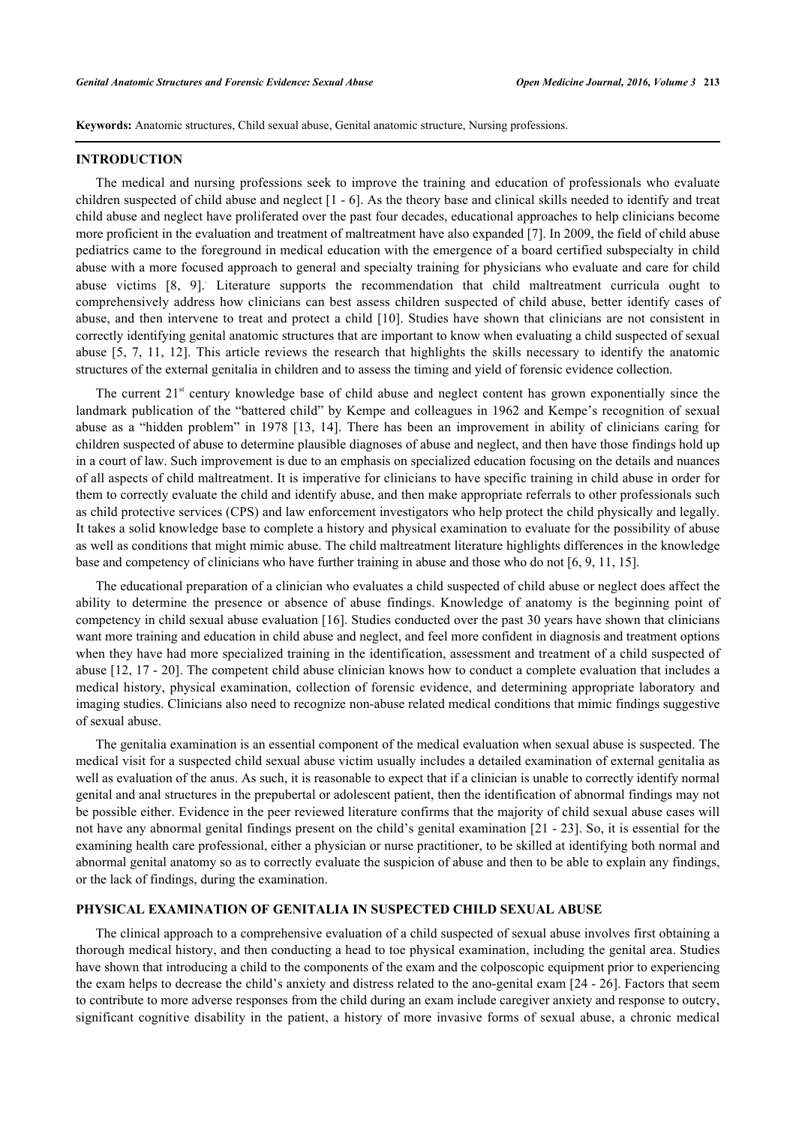**Keywords:** Anatomic structures, Child sexual abuse, Genital anatomic structure, Nursing professions.

#### **INTRODUCTION**

The medical and nursing professions seek to improve the training and education of professionals who evaluate children suspected of child abuse and neglect [\[1](#page-7-0) - [6](#page-7-1)]. As the theory base and clinical skills needed to identify and treat child abuse and neglect have proliferated over the past four decades, educational approaches to help clinicians become more proficient in the evaluation and treatment of maltreatment have also expanded [[7\]](#page-7-2). In 2009, the field of child abuse pediatrics came to the foreground in medical education with the emergence of a board certified subspecialty in child abuse with a more focused approach to general and specialty training for physicians who evaluate and care for child abusevictims [[8,](#page-7-3) [9](#page-7-4)]. Literature supports the recommendation that child maltreatment curricula ought to comprehensively address how clinicians can best assess children suspected of child abuse, better identify cases of abuse, and then intervene to treat and protect a child [[10\]](#page-7-5). Studies have shown that clinicians are not consistent in correctly identifying genital anatomic structures that are important to know when evaluating a child suspected of sexual abuse [\[5](#page-7-6), [7,](#page-7-2) [11](#page-7-7), [12\]](#page-7-8). This article reviews the research that highlights the skills necessary to identify the anatomic structures of the external genitalia in children and to assess the timing and yield of forensic evidence collection.

The current 21<sup>st</sup> century knowledge base of child abuse and neglect content has grown exponentially since the landmark publication of the "battered child" by Kempe and colleagues in 1962 and Kempe's recognition of sexual abuse as a "hidden problem" in 1978[[13](#page-7-9), [14\]](#page-7-10). There has been an improvement in ability of clinicians caring for children suspected of abuse to determine plausible diagnoses of abuse and neglect, and then have those findings hold up in a court of law. Such improvement is due to an emphasis on specialized education focusing on the details and nuances of all aspects of child maltreatment. It is imperative for clinicians to have specific training in child abuse in order for them to correctly evaluate the child and identify abuse, and then make appropriate referrals to other professionals such as child protective services (CPS) and law enforcement investigators who help protect the child physically and legally. It takes a solid knowledge base to complete a history and physical examination to evaluate for the possibility of abuse as well as conditions that might mimic abuse. The child maltreatment literature highlights differences in the knowledge base and competency of clinicians who have further training in abuse and those who do not [[6,](#page-7-1) [9,](#page-7-4) [11,](#page-7-7) [15\]](#page-8-0).

The educational preparation of a clinician who evaluates a child suspected of child abuse or neglect does affect the ability to determine the presence or absence of abuse findings. Knowledge of anatomy is the beginning point of competency in child sexual abuse evaluation [\[16](#page-8-1)]. Studies conducted over the past 30 years have shown that clinicians want more training and education in child abuse and neglect, and feel more confident in diagnosis and treatment options when they have had more specialized training in the identification, assessment and treatment of a child suspected of abuse [\[12](#page-7-8), [17](#page-8-2) - [20](#page-8-3)]. The competent child abuse clinician knows how to conduct a complete evaluation that includes a medical history, physical examination, collection of forensic evidence, and determining appropriate laboratory and imaging studies. Clinicians also need to recognize non-abuse related medical conditions that mimic findings suggestive of sexual abuse.

The genitalia examination is an essential component of the medical evaluation when sexual abuse is suspected. The medical visit for a suspected child sexual abuse victim usually includes a detailed examination of external genitalia as well as evaluation of the anus. As such, it is reasonable to expect that if a clinician is unable to correctly identify normal genital and anal structures in the prepubertal or adolescent patient, then the identification of abnormal findings may not be possible either. Evidence in the peer reviewed literature confirms that the majority of child sexual abuse cases will not have any abnormal genital findings present on the child's genital examination [\[21](#page-8-4) - [23\]](#page-8-5). So, it is essential for the examining health care professional, either a physician or nurse practitioner, to be skilled at identifying both normal and abnormal genital anatomy so as to correctly evaluate the suspicion of abuse and then to be able to explain any findings, or the lack of findings, during the examination.

# **PHYSICAL EXAMINATION OF GENITALIA IN SUSPECTED CHILD SEXUAL ABUSE**

The clinical approach to a comprehensive evaluation of a child suspected of sexual abuse involves first obtaining a thorough medical history, and then conducting a head to toe physical examination, including the genital area. Studies have shown that introducing a child to the components of the exam and the colposcopic equipment prior to experiencing the exam helps to decrease the child's anxiety and distress related to the ano-genital exam [[24](#page-8-6) - [26\]](#page-8-7). Factors that seem to contribute to more adverse responses from the child during an exam include caregiver anxiety and response to outcry, significant cognitive disability in the patient, a history of more invasive forms of sexual abuse, a chronic medical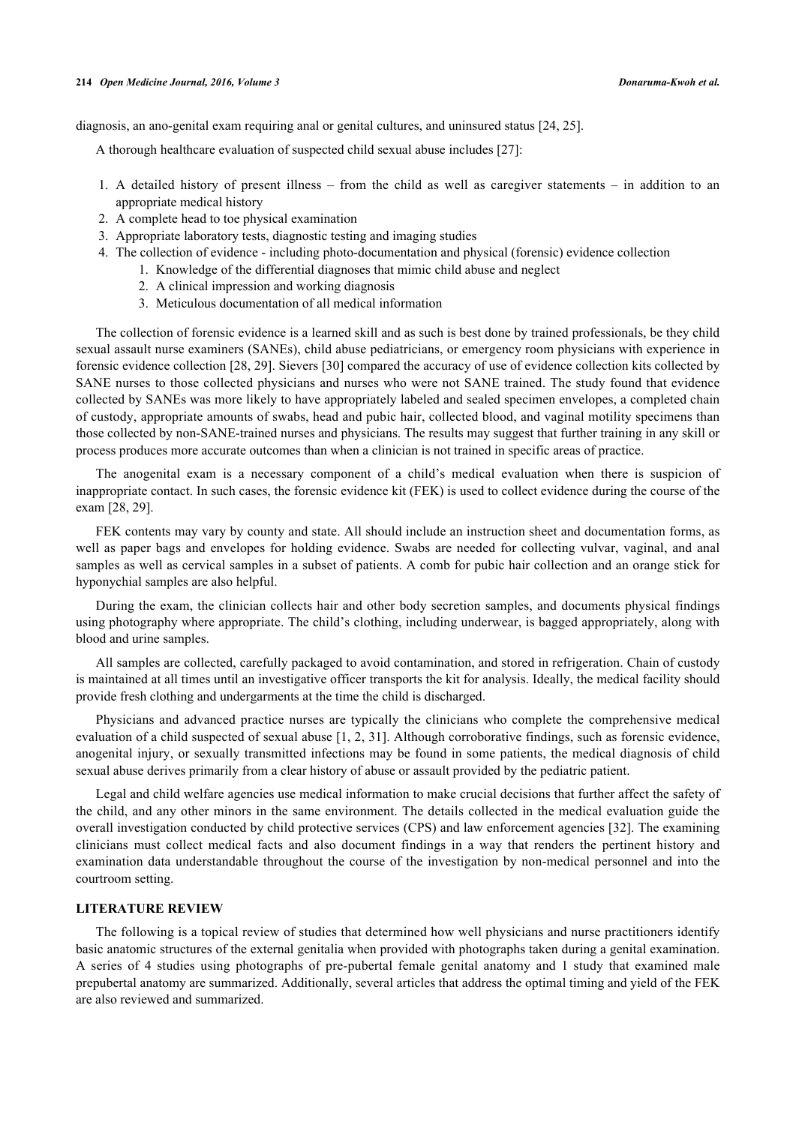diagnosis, an ano-genital exam requiring anal or genital cultures, and uninsured status [\[24](#page-8-6), [25](#page-8-8)].

A thorough healthcare evaluation of suspected child sexual abuse includes [[27\]](#page-8-9):

- 1. A detailed history of present illness from the child as well as caregiver statements in addition to an appropriate medical history
- 2. A complete head to toe physical examination
- 3. Appropriate laboratory tests, diagnostic testing and imaging studies
- 4. The collection of evidence including photo-documentation and physical (forensic) evidence collection
	- 1. Knowledge of the differential diagnoses that mimic child abuse and neglect
	- 2. A clinical impression and working diagnosis
	- 3. Meticulous documentation of all medical information

The collection of forensic evidence is a learned skill and as such is best done by trained professionals, be they child sexual assault nurse examiners (SANEs), child abuse pediatricians, or emergency room physicians with experience in forensic evidence collection [\[28](#page-8-10), [29](#page-8-11)]. Sievers [[30](#page-8-12)] compared the accuracy of use of evidence collection kits collected by SANE nurses to those collected physicians and nurses who were not SANE trained. The study found that evidence collected by SANEs was more likely to have appropriately labeled and sealed specimen envelopes, a completed chain of custody, appropriate amounts of swabs, head and pubic hair, collected blood, and vaginal motility specimens than those collected by non-SANE-trained nurses and physicians. The results may suggest that further training in any skill or process produces more accurate outcomes than when a clinician is not trained in specific areas of practice.

The anogenital exam is a necessary component of a child's medical evaluation when there is suspicion of inappropriate contact. In such cases, the forensic evidence kit (FEK) is used to collect evidence during the course of the exam [\[28](#page-8-10), [29](#page-8-11)].

FEK contents may vary by county and state. All should include an instruction sheet and documentation forms, as well as paper bags and envelopes for holding evidence. Swabs are needed for collecting vulvar, vaginal, and anal samples as well as cervical samples in a subset of patients. A comb for pubic hair collection and an orange stick for hyponychial samples are also helpful.

During the exam, the clinician collects hair and other body secretion samples, and documents physical findings using photography where appropriate. The child's clothing, including underwear, is bagged appropriately, along with blood and urine samples.

All samples are collected, carefully packaged to avoid contamination, and stored in refrigeration. Chain of custody is maintained at all times until an investigative officer transports the kit for analysis. Ideally, the medical facility should provide fresh clothing and undergarments at the time the child is discharged.

Physicians and advanced practice nurses are typically the clinicians who complete the comprehensive medical evaluation of a child suspected of sexual abuse [[1,](#page-7-0) [2](#page-7-11), [31\]](#page-8-13). Although corroborative findings, such as forensic evidence, anogenital injury, or sexually transmitted infections may be found in some patients, the medical diagnosis of child sexual abuse derives primarily from a clear history of abuse or assault provided by the pediatric patient.

Legal and child welfare agencies use medical information to make crucial decisions that further affect the safety of the child, and any other minors in the same environment. The details collected in the medical evaluation guide the overall investigation conducted by child protective services (CPS) and law enforcement agencies [[32\]](#page-8-14). The examining clinicians must collect medical facts and also document findings in a way that renders the pertinent history and examination data understandable throughout the course of the investigation by non-medical personnel and into the courtroom setting.

## **LITERATURE REVIEW**

The following is a topical review of studies that determined how well physicians and nurse practitioners identify basic anatomic structures of the external genitalia when provided with photographs taken during a genital examination. A series of 4 studies using photographs of pre-pubertal female genital anatomy and 1 study that examined male prepubertal anatomy are summarized. Additionally, several articles that address the optimal timing and yield of the FEK are also reviewed and summarized.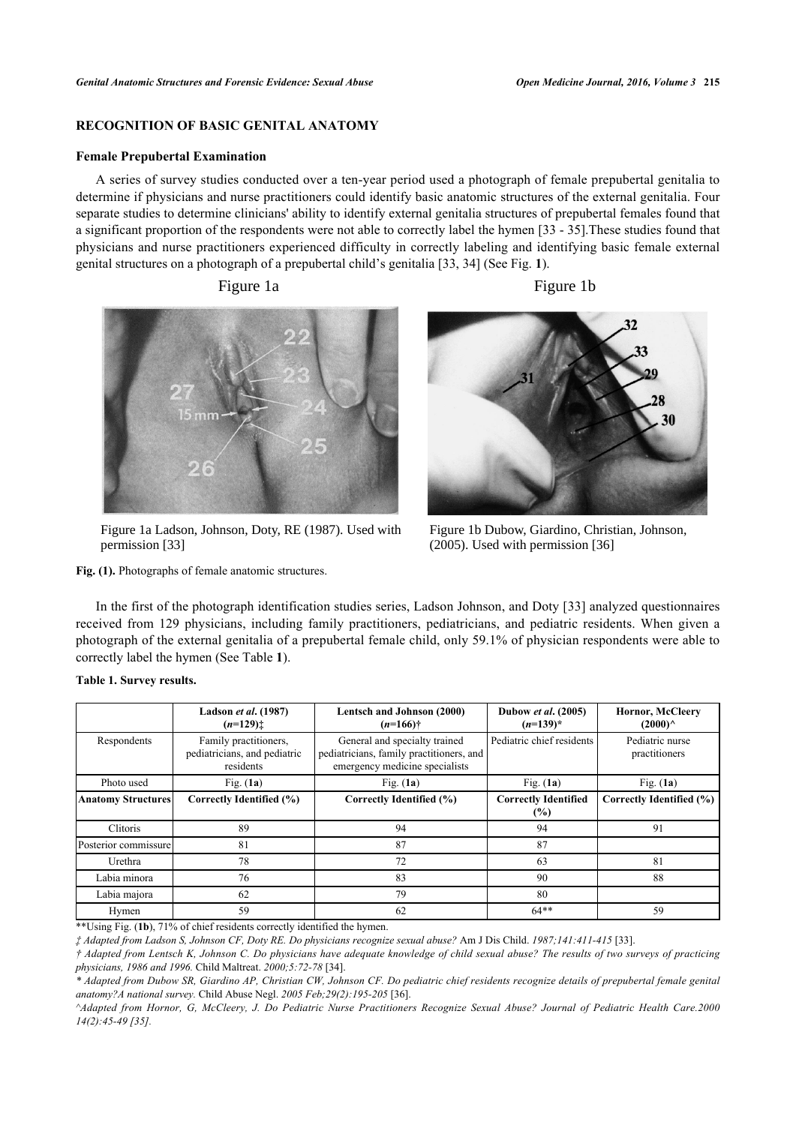#### **Female Prepubertal Examination**

A series of survey studies conducted over a ten-year period used a photograph of female prepubertal genitalia to determine if physicians and nurse practitioners could identify basic anatomic structures of the external genitalia. Four separate studies to determine clinicians' ability to identify external genitalia structures of prepubertal females found that a significant proportion of the respondents were not able to correctly label the hymen [[33](#page-8-15) - [35\]](#page-8-16).These studies found that physicians and nurse practitioners experienced difficulty in correctly labeling and identifying basic female external genital structures on a photograph of a prepubertal child's genitalia [\[33](#page-8-15), [34](#page-8-17)] (See Fig. **[1](#page-3-0)**).



<span id="page-3-0"></span>

Figure 1a Ladson, Johnson, Doty, RE (1987). Used with permission [33]

**Fig. (1).** Photographs of female anatomic structures.

Figure 1b Dubow, Giardino, Christian, Johnson, (2005). Used with permission [36]

In the first of the photograph identification studies series, Ladson Johnson, and Doty [[33\]](#page-8-15) analyzed questionnaires received from 129 physicians, including family practitioners, pediatricians, and pediatric residents. When given a photograph of the external genitalia of a prepubertal female child, only 59.1% of physician respondents were able to correctly label the hymen (See Table **[1](#page-3-1)**).

|                           | Ladson et al. (1987)<br>$(n=129)$ :                                | Lentsch and Johnson (2000)<br>$(n=166)$ †                                                                   | Dubow et al. (2005)<br>$(n=139)^{*}$  | <b>Hornor, McCleery</b><br>$(2000)^{\wedge}$ |
|---------------------------|--------------------------------------------------------------------|-------------------------------------------------------------------------------------------------------------|---------------------------------------|----------------------------------------------|
| Respondents               | Family practitioners,<br>pediatricians, and pediatric<br>residents | General and specialty trained<br>pediatricians, family practitioners, and<br>emergency medicine specialists | Pediatric chief residents             | Pediatric nurse<br>practitioners             |
| Photo used                | Fig. $(1a)$                                                        | Fig. $(1a)$                                                                                                 | Fig. $(1a)$                           | Fig. $(1a)$                                  |
| <b>Anatomy Structures</b> | Correctly Identified (%)                                           | Correctly Identified (%)                                                                                    | <b>Correctly Identified</b><br>$(\%)$ | Correctly Identified (%)                     |
| Clitoris                  | 89                                                                 | 94                                                                                                          | 94                                    | 91                                           |
| Posterior commissure      | 81                                                                 | 87                                                                                                          | 87                                    |                                              |
| Urethra                   | 78                                                                 | 72                                                                                                          | 63                                    | 81                                           |
| Labia minora              | 76                                                                 | 83                                                                                                          | 90                                    | 88                                           |
| Labia majora              | 62                                                                 | 79                                                                                                          | 80                                    |                                              |
| Hymen                     | 59                                                                 | 62                                                                                                          | $64**$                                | 59                                           |

<span id="page-3-1"></span>**Table 1. Survey results.**

\*\*Using Fig. ([1b](#page-3-0)), 71% of chief residents correctly identified the hymen.

*‡ Adapted from Ladson S, Johnson CF, Doty RE. Do physicians recognize sexual abuse?* Am J Dis Child. *1987;141:411-415* [[33\]](#page-8-15).

*† Adapted from Lentsch K, Johnson C. Do physicians have adequate knowledge of child sexual abuse? The results of two surveys of practicing physicians, 1986 and 1996.* Child Maltreat. *2000;5:72-78* [\[34](#page-8-17)].

*\* Adapted from Dubow SR, Giardino AP, Christian CW, Johnson CF. Do pediatric chief residents recognize details of prepubertal female genital anatomy?A national survey.* Child Abuse Negl. *2005 Feb;29(2):195-205* [[36\]](#page-8-18).

*^Adapted from Hornor, G, McCleery, J. Do Pediatric Nurse Practitioners Recognize Sexual Abuse? Journal of Pediatric Health Care.2000 14(2):45-49 [\[35](#page-8-16)].*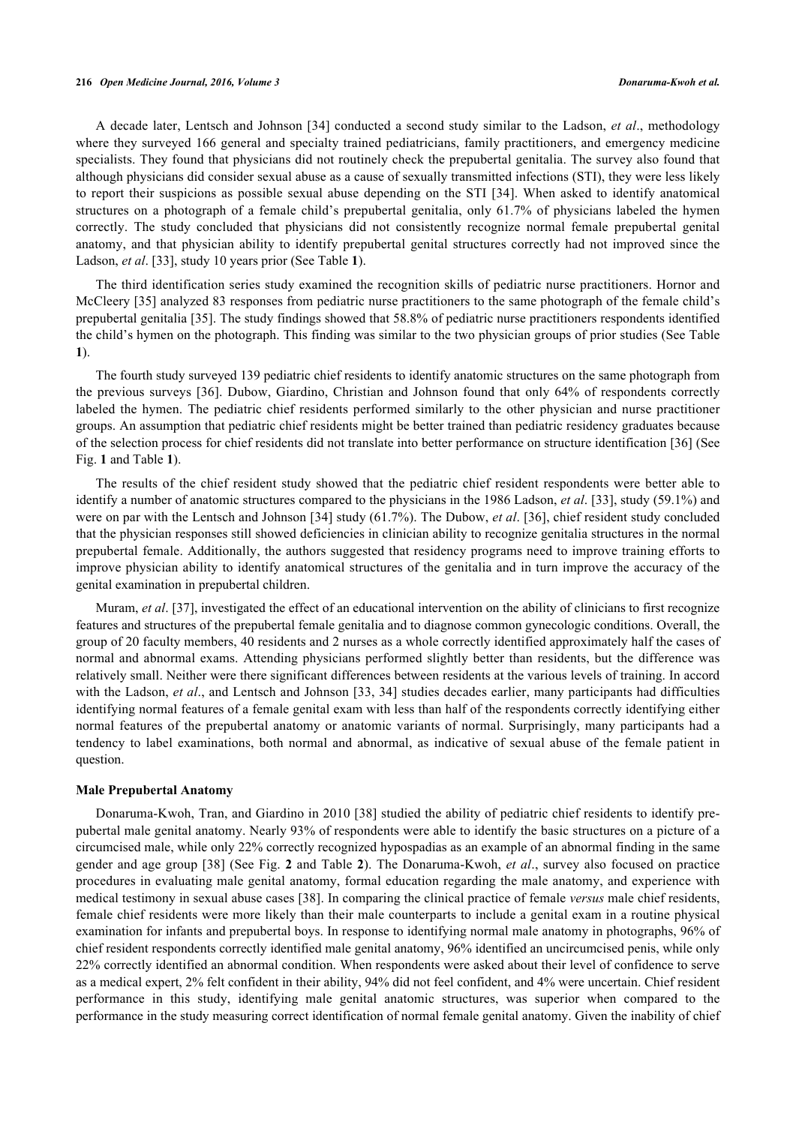#### **216** *Open Medicine Journal, 2016, Volume 3 Donaruma-Kwoh et al.*

A decade later, Lentsch and Johnson [\[34](#page-8-17)] conducted a second study similar to the Ladson, *et al*., methodology where they surveyed 166 general and specialty trained pediatricians, family practitioners, and emergency medicine specialists. They found that physicians did not routinely check the prepubertal genitalia. The survey also found that although physicians did consider sexual abuse as a cause of sexually transmitted infections (STI), they were less likely to report their suspicions as possible sexual abuse depending on the STI [\[34\]](#page-8-17). When asked to identify anatomical structures on a photograph of a female child's prepubertal genitalia, only 61.7% of physicians labeled the hymen correctly. The study concluded that physicians did not consistently recognize normal female prepubertal genital anatomy, and that physician ability to identify prepubertal genital structures correctly had not improved since the Ladson, *et al*. [[33\]](#page-8-15), study 10 years prior (See Table **[1](#page-3-1)**).

The third identification series study examined the recognition skills of pediatric nurse practitioners. Hornor and McCleery [[35\]](#page-8-16) analyzed 83 responses from pediatric nurse practitioners to the same photograph of the female child's prepubertal genitalia [[35](#page-8-16)]. The study findings showed that 58.8% of pediatric nurse practitioners respondents identified the child's hymen on the photograph. This finding was similar to the two physician groups of prior studies (See Table **[1](#page-3-1)**).

The fourth study surveyed 139 pediatric chief residents to identify anatomic structures on the same photograph from the previous surveys [\[36\]](#page-8-18). Dubow, Giardino, Christian and Johnson found that only 64% of respondents correctly labeled the hymen. The pediatric chief residents performed similarly to the other physician and nurse practitioner groups. An assumption that pediatric chief residents might be better trained than pediatric residency graduates because of the selection process for chief residents did not translate into better performance on structure identification [[36\]](#page-8-18) (See Fig. **[1](#page-3-0)** and Table **[1](#page-3-1)**).

The results of the chief resident study showed that the pediatric chief resident respondents were better able to identify a number of anatomic structures compared to the physicians in the 1986 Ladson, *et al*. [[33\]](#page-8-15), study (59.1%) and were on par with the Lentsch and Johnson [\[34\]](#page-8-17) study (61.7%). The Dubow, *et al.* [\[36](#page-8-18)], chief resident study concluded that the physician responses still showed deficiencies in clinician ability to recognize genitalia structures in the normal prepubertal female. Additionally, the authors suggested that residency programs need to improve training efforts to improve physician ability to identify anatomical structures of the genitalia and in turn improve the accuracy of the genital examination in prepubertal children.

Muram, *et al*. [\[37](#page-9-0)], investigated the effect of an educational intervention on the ability of clinicians to first recognize features and structures of the prepubertal female genitalia and to diagnose common gynecologic conditions. Overall, the group of 20 faculty members, 40 residents and 2 nurses as a whole correctly identified approximately half the cases of normal and abnormal exams. Attending physicians performed slightly better than residents, but the difference was relatively small. Neither were there significant differences between residents at the various levels of training. In accord with the Ladson, *et al.*, and Lentsch and Johnson [[33,](#page-8-15) [34\]](#page-8-17) studies decades earlier, many participants had difficulties identifying normal features of a female genital exam with less than half of the respondents correctly identifying either normal features of the prepubertal anatomy or anatomic variants of normal. Surprisingly, many participants had a tendency to label examinations, both normal and abnormal, as indicative of sexual abuse of the female patient in question.

#### **Male Prepubertal Anatomy**

Donaruma-Kwoh, Tran, and Giardino in 2010 [[38\]](#page-9-1) studied the ability of pediatric chief residents to identify prepubertal male genital anatomy. Nearly 93% of respondents were able to identify the basic structures on a picture of a circumcised male, while only 22% correctly recognized hypospadias as an example of an abnormal finding in the same gender and age group [[38](#page-9-1)] (See Fig. **[2](#page-5-0)** and Table **[2](#page-5-1)**). The Donaruma-Kwoh, *et al*., survey also focused on practice procedures in evaluating male genital anatomy, formal education regarding the male anatomy, and experience with medical testimony in sexual abuse cases [\[38\]](#page-9-1). In comparing the clinical practice of female *versus* male chief residents, female chief residents were more likely than their male counterparts to include a genital exam in a routine physical examination for infants and prepubertal boys. In response to identifying normal male anatomy in photographs, 96% of chief resident respondents correctly identified male genital anatomy, 96% identified an uncircumcised penis, while only 22% correctly identified an abnormal condition. When respondents were asked about their level of confidence to serve as a medical expert, 2% felt confident in their ability, 94% did not feel confident, and 4% were uncertain. Chief resident performance in this study, identifying male genital anatomic structures, was superior when compared to the performance in the study measuring correct identification of normal female genital anatomy. Given the inability of chief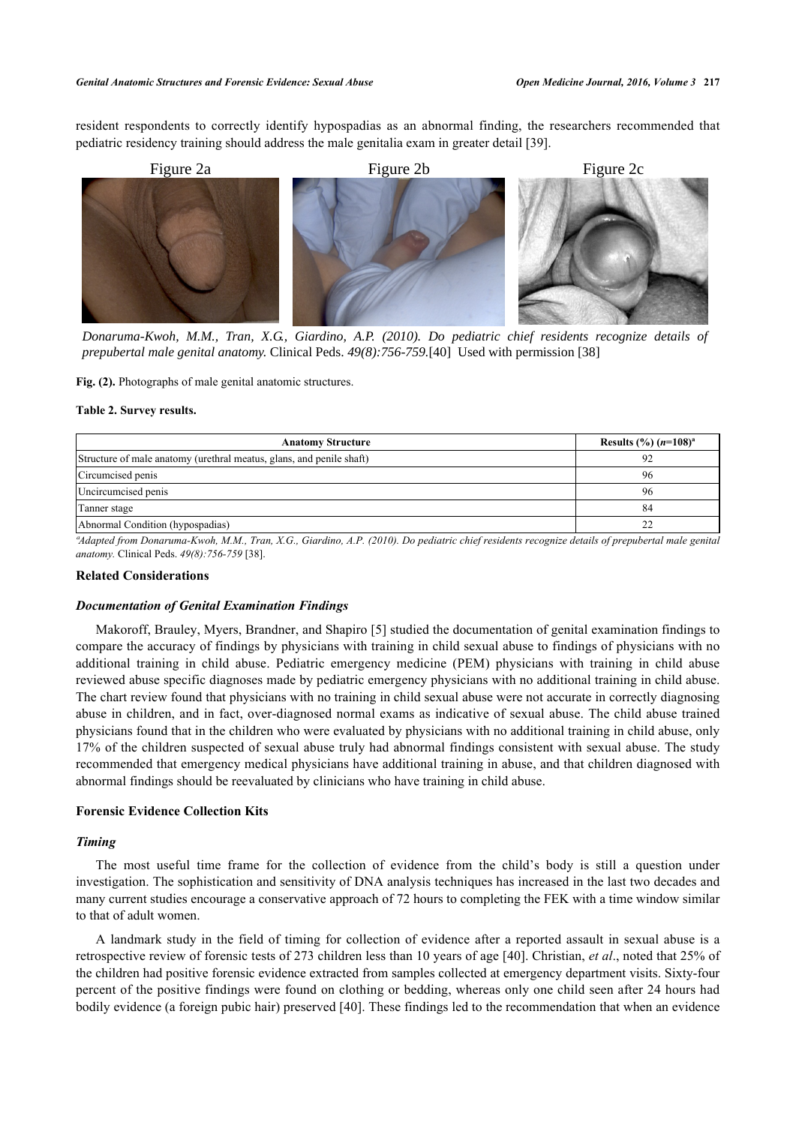resident respondents to correctly identify hypospadias as an abnormal finding, the researchers recommended that pediatric residency training should address the male genitalia exam in greater detail [[39\]](#page-9-2).

<span id="page-5-0"></span>

*Donaruma-Kwoh, M.M., Tran, X.G., Giardino, A.P. (2010). Do pediatric chief residents recognize details of prepubertal male genital anatomy.* Clinical Peds. *49(8):756-759.*[40] Used with permission [38]

**Fig. (2).** Photographs of male genital anatomic structures.

#### <span id="page-5-1"></span>**Table 2. Survey results.**

| <b>Anatomy Structure</b>                                             | Results $(\%)(n=108)^{a}$ |
|----------------------------------------------------------------------|---------------------------|
| Structure of male anatomy (urethral meatus, glans, and penile shaft) | 92                        |
| Circumcised penis                                                    | 96                        |
| Uncircumcised penis                                                  | 96                        |
| Tanner stage                                                         | 84                        |
| Abnormal Condition (hypospadias)                                     | 22                        |

*ªAdapted from Donaruma-Kwoh, M.M., Tran, X.G., Giardino, A.P. (2010). Do pediatric chief residents recognize details of prepubertal male genital anatomy.* Clinical Peds. *49(8):756-759* [\[38](#page-9-1)].

# **Related Considerations**

#### *Documentation of Genital Examination Findings*

Makoroff, Brauley, Myers, Brandner, and Shapiro [[5\]](#page-7-6) studied the documentation of genital examination findings to compare the accuracy of findings by physicians with training in child sexual abuse to findings of physicians with no additional training in child abuse. Pediatric emergency medicine (PEM) physicians with training in child abuse reviewed abuse specific diagnoses made by pediatric emergency physicians with no additional training in child abuse. The chart review found that physicians with no training in child sexual abuse were not accurate in correctly diagnosing abuse in children, and in fact, over-diagnosed normal exams as indicative of sexual abuse. The child abuse trained physicians found that in the children who were evaluated by physicians with no additional training in child abuse, only 17% of the children suspected of sexual abuse truly had abnormal findings consistent with sexual abuse. The study recommended that emergency medical physicians have additional training in abuse, and that children diagnosed with abnormal findings should be reevaluated by clinicians who have training in child abuse.

# **Forensic Evidence Collection Kits**

#### *Timing*

The most useful time frame for the collection of evidence from the child's body is still a question under investigation. The sophistication and sensitivity of DNA analysis techniques has increased in the last two decades and many current studies encourage a conservative approach of 72 hours to completing the FEK with a time window similar to that of adult women.

A landmark study in the field of timing for collection of evidence after a reported assault in sexual abuse is a retrospective review of forensic tests of 273 children less than 10 years of age [\[40\]](#page-9-3). Christian, *et al*., noted that 25% of the children had positive forensic evidence extracted from samples collected at emergency department visits. Sixty-four percent of the positive findings were found on clothing or bedding, whereas only one child seen after 24 hours had bodily evidence (a foreign pubic hair) preserved [\[40](#page-9-3)]. These findings led to the recommendation that when an evidence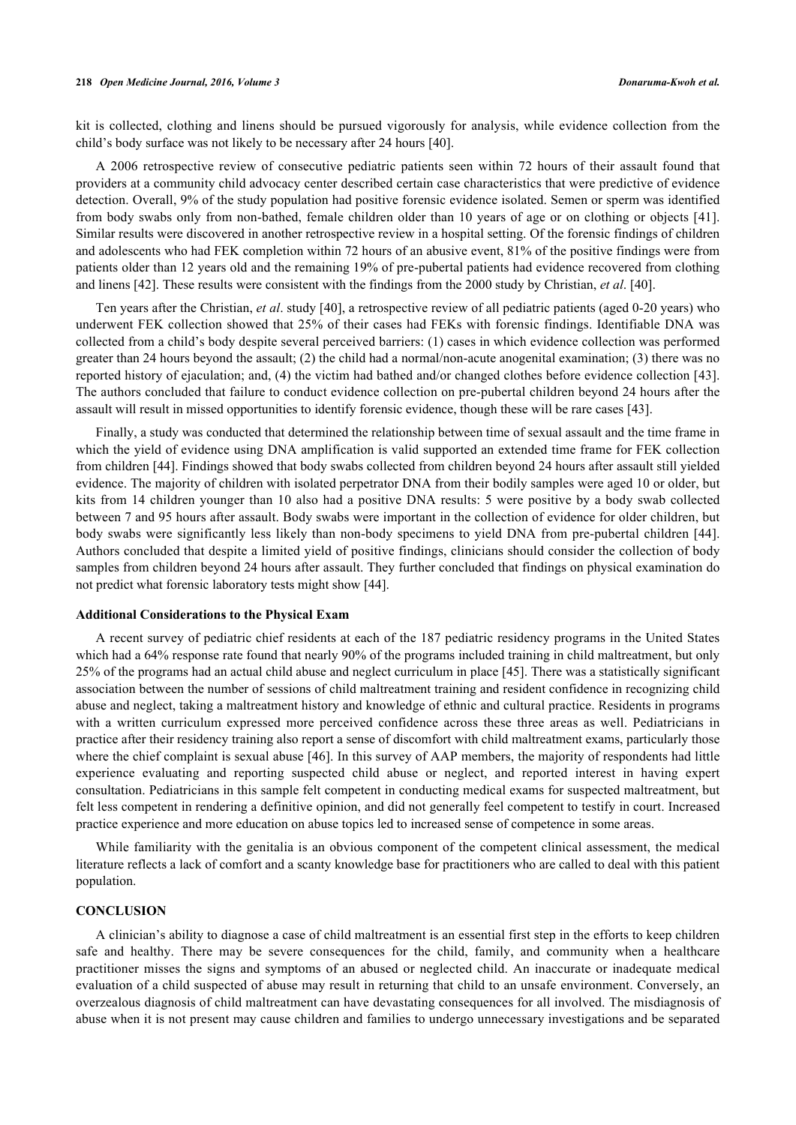#### **218** *Open Medicine Journal, 2016, Volume 3 Donaruma-Kwoh et al.*

kit is collected, clothing and linens should be pursued vigorously for analysis, while evidence collection from the child's body surface was not likely to be necessary after 24 hours [[40\]](#page-9-3).

A 2006 retrospective review of consecutive pediatric patients seen within 72 hours of their assault found that providers at a community child advocacy center described certain case characteristics that were predictive of evidence detection. Overall, 9% of the study population had positive forensic evidence isolated. Semen or sperm was identified from body swabs only from non-bathed, female children older than 10 years of age or on clothing or objects [\[41\]](#page-9-4). Similar results were discovered in another retrospective review in a hospital setting. Of the forensic findings of children and adolescents who had FEK completion within 72 hours of an abusive event, 81% of the positive findings were from patients older than 12 years old and the remaining 19% of pre-pubertal patients had evidence recovered from clothing and linens [\[42](#page-9-5)]. These results were consistent with the findings from the 2000 study by Christian, *et al*. [[40\]](#page-9-3).

Ten years after the Christian, *et al*. study [\[40](#page-9-3)], a retrospective review of all pediatric patients (aged 0-20 years) who underwent FEK collection showed that 25% of their cases had FEKs with forensic findings. Identifiable DNA was collected from a child's body despite several perceived barriers: (1) cases in which evidence collection was performed greater than 24 hours beyond the assault; (2) the child had a normal/non-acute anogenital examination; (3) there was no reported history of ejaculation; and, (4) the victim had bathed and/or changed clothes before evidence collection [[43\]](#page-9-6). The authors concluded that failure to conduct evidence collection on pre-pubertal children beyond 24 hours after the assault will result in missed opportunities to identify forensic evidence, though these will be rare cases [\[43](#page-9-6)].

Finally, a study was conducted that determined the relationship between time of sexual assault and the time frame in which the yield of evidence using DNA amplification is valid supported an extended time frame for FEK collection from children [[44\]](#page-9-7). Findings showed that body swabs collected from children beyond 24 hours after assault still yielded evidence. The majority of children with isolated perpetrator DNA from their bodily samples were aged 10 or older, but kits from 14 children younger than 10 also had a positive DNA results: 5 were positive by a body swab collected between 7 and 95 hours after assault. Body swabs were important in the collection of evidence for older children, but body swabs were significantly less likely than non-body specimens to yield DNA from pre-pubertal children [\[44\]](#page-9-7). Authors concluded that despite a limited yield of positive findings, clinicians should consider the collection of body samples from children beyond 24 hours after assault. They further concluded that findings on physical examination do not predict what forensic laboratory tests might show [[44\]](#page-9-7).

### **Additional Considerations to the Physical Exam**

A recent survey of pediatric chief residents at each of the 187 pediatric residency programs in the United States which had a 64% response rate found that nearly 90% of the programs included training in child maltreatment, but only 25% of the programs had an actual child abuse and neglect curriculum in place [[45\]](#page-9-8). There was a statistically significant association between the number of sessions of child maltreatment training and resident confidence in recognizing child abuse and neglect, taking a maltreatment history and knowledge of ethnic and cultural practice. Residents in programs with a written curriculum expressed more perceived confidence across these three areas as well. Pediatricians in practice after their residency training also report a sense of discomfort with child maltreatment exams, particularly those where the chief complaint is sexual abuse [\[46\]](#page-9-9). In this survey of AAP members, the majority of respondents had little experience evaluating and reporting suspected child abuse or neglect, and reported interest in having expert consultation. Pediatricians in this sample felt competent in conducting medical exams for suspected maltreatment, but felt less competent in rendering a definitive opinion, and did not generally feel competent to testify in court. Increased practice experience and more education on abuse topics led to increased sense of competence in some areas.

While familiarity with the genitalia is an obvious component of the competent clinical assessment, the medical literature reflects a lack of comfort and a scanty knowledge base for practitioners who are called to deal with this patient population.

#### **CONCLUSION**

A clinician's ability to diagnose a case of child maltreatment is an essential first step in the efforts to keep children safe and healthy. There may be severe consequences for the child, family, and community when a healthcare practitioner misses the signs and symptoms of an abused or neglected child. An inaccurate or inadequate medical evaluation of a child suspected of abuse may result in returning that child to an unsafe environment. Conversely, an overzealous diagnosis of child maltreatment can have devastating consequences for all involved. The misdiagnosis of abuse when it is not present may cause children and families to undergo unnecessary investigations and be separated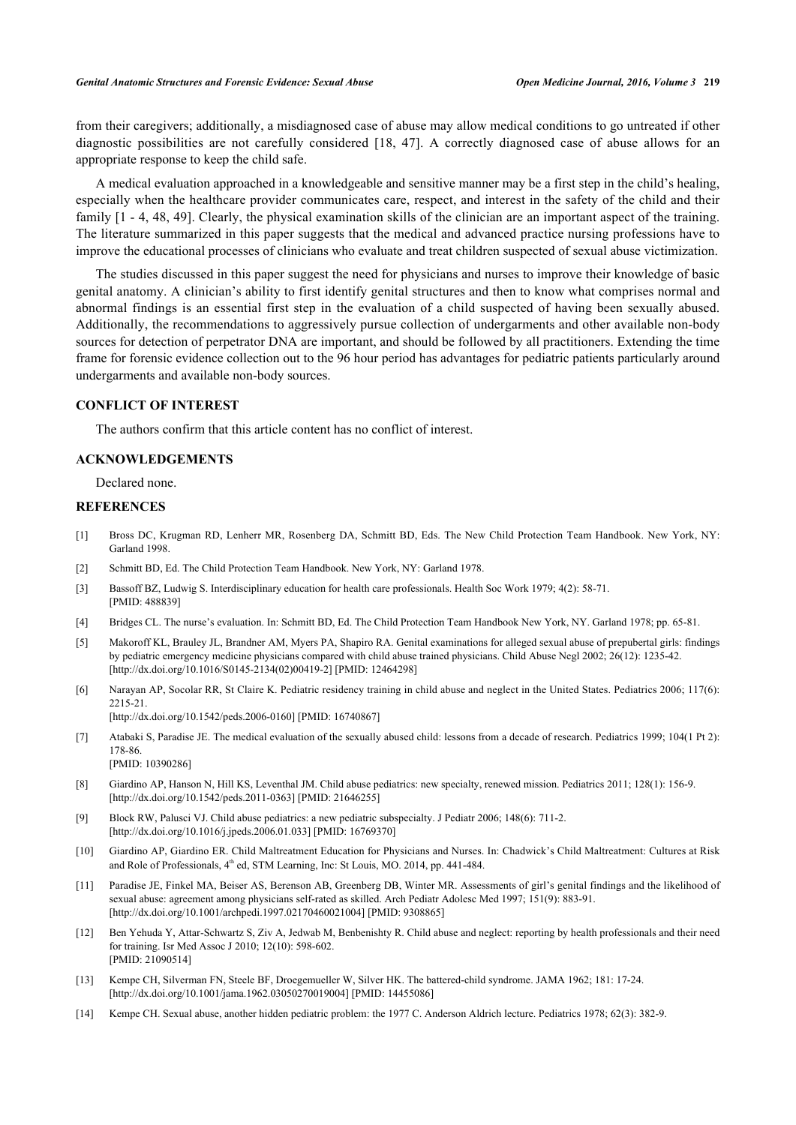from their caregivers; additionally, a misdiagnosed case of abuse may allow medical conditions to go untreated if other diagnostic possibilities are not carefully considered[[18,](#page-8-19) [47\]](#page-9-10). A correctly diagnosed case of abuse allows for an appropriate response to keep the child safe.

A medical evaluation approached in a knowledgeable and sensitive manner may be a first step in the child's healing, especially when the healthcare provider communicates care, respect, and interest in the safety of the child and their family  $[1 - 4, 48, 49]$  $[1 - 4, 48, 49]$  $[1 - 4, 48, 49]$  $[1 - 4, 48, 49]$  $[1 - 4, 48, 49]$  $[1 - 4, 48, 49]$  $[1 - 4, 48, 49]$ . Clearly, the physical examination skills of the clinician are an important aspect of the training. The literature summarized in this paper suggests that the medical and advanced practice nursing professions have to improve the educational processes of clinicians who evaluate and treat children suspected of sexual abuse victimization.

The studies discussed in this paper suggest the need for physicians and nurses to improve their knowledge of basic genital anatomy. A clinician's ability to first identify genital structures and then to know what comprises normal and abnormal findings is an essential first step in the evaluation of a child suspected of having been sexually abused. Additionally, the recommendations to aggressively pursue collection of undergarments and other available non-body sources for detection of perpetrator DNA are important, and should be followed by all practitioners. Extending the time frame for forensic evidence collection out to the 96 hour period has advantages for pediatric patients particularly around undergarments and available non-body sources.

# **CONFLICT OF INTEREST**

The authors confirm that this article content has no conflict of interest.

# **ACKNOWLEDGEMENTS**

Declared none.

# **REFERENCES**

- <span id="page-7-0"></span>[1] Bross DC, Krugman RD, Lenherr MR, Rosenberg DA, Schmitt BD, Eds. The New Child Protection Team Handbook. New York, NY: Garland 1998.
- <span id="page-7-11"></span>[2] Schmitt BD, Ed. The Child Protection Team Handbook. New York, NY: Garland 1978.
- [3] Bassoff BZ, Ludwig S. Interdisciplinary education for health care professionals. Health Soc Work 1979; 4(2): 58-71. [PMID: [488839\]](http://www.ncbi.nlm.nih.gov/pubmed/488839)
- <span id="page-7-12"></span>[4] Bridges CL. The nurse's evaluation. In: Schmitt BD, Ed. The Child Protection Team Handbook New York, NY. Garland 1978; pp. 65-81.
- <span id="page-7-6"></span>[5] Makoroff KL, Brauley JL, Brandner AM, Myers PA, Shapiro RA. Genital examinations for alleged sexual abuse of prepubertal girls: findings by pediatric emergency medicine physicians compared with child abuse trained physicians. Child Abuse Negl 2002; 26(12): 1235-42. [\[http://dx.doi.org/10.1016/S0145-2134\(02\)00419-2\]](http://dx.doi.org/10.1016/S0145-2134(02)00419-2) [PMID: [12464298](http://www.ncbi.nlm.nih.gov/pubmed/12464298)]
- <span id="page-7-1"></span>[6] Narayan AP, Socolar RR, St Claire K. Pediatric residency training in child abuse and neglect in the United States. Pediatrics 2006; 117(6): 2215-21. [\[http://dx.doi.org/10.1542/peds.2006-0160](http://dx.doi.org/10.1542/peds.2006-0160)] [PMID: [16740867\]](http://www.ncbi.nlm.nih.gov/pubmed/16740867)
- <span id="page-7-2"></span>[7] Atabaki S, Paradise JE. The medical evaluation of the sexually abused child: lessons from a decade of research. Pediatrics 1999; 104(1 Pt 2): 178-86. [PMID: [10390286\]](http://www.ncbi.nlm.nih.gov/pubmed/10390286)
- <span id="page-7-3"></span>[8] Giardino AP, Hanson N, Hill KS, Leventhal JM. Child abuse pediatrics: new specialty, renewed mission. Pediatrics 2011; 128(1): 156-9. [\[http://dx.doi.org/10.1542/peds.2011-0363](http://dx.doi.org/10.1542/peds.2011-0363)] [PMID: [21646255\]](http://www.ncbi.nlm.nih.gov/pubmed/21646255)
- <span id="page-7-4"></span>[9] Block RW, Palusci VJ. Child abuse pediatrics: a new pediatric subspecialty. J Pediatr 2006; 148(6): 711-2. [\[http://dx.doi.org/10.1016/j.jpeds.2006.01.033\]](http://dx.doi.org/10.1016/j.jpeds.2006.01.033) [PMID: [16769370](http://www.ncbi.nlm.nih.gov/pubmed/16769370)]
- <span id="page-7-5"></span>[10] Giardino AP, Giardino ER. Child Maltreatment Education for Physicians and Nurses. In: Chadwick's Child Maltreatment: Cultures at Risk and Role of Professionals, 4<sup>th</sup> ed, STM Learning, Inc: St Louis, MO. 2014, pp. 441-484.
- <span id="page-7-7"></span>[11] Paradise JE, Finkel MA, Beiser AS, Berenson AB, Greenberg DB, Winter MR. Assessments of girl's genital findings and the likelihood of sexual abuse: agreement among physicians self-rated as skilled. Arch Pediatr Adolesc Med 1997; 151(9): 883-91. [\[http://dx.doi.org/10.1001/archpedi.1997.02170460021004](http://dx.doi.org/10.1001/archpedi.1997.02170460021004)] [PMID: [9308865\]](http://www.ncbi.nlm.nih.gov/pubmed/9308865)
- <span id="page-7-8"></span>[12] Ben Yehuda Y, Attar-Schwartz S, Ziv A, Jedwab M, Benbenishty R. Child abuse and neglect: reporting by health professionals and their need for training. Isr Med Assoc J 2010; 12(10): 598-602. [PMID: [21090514\]](http://www.ncbi.nlm.nih.gov/pubmed/21090514)
- <span id="page-7-9"></span>[13] Kempe CH, Silverman FN, Steele BF, Droegemueller W, Silver HK. The battered-child syndrome. JAMA 1962; 181: 17-24. [\[http://dx.doi.org/10.1001/jama.1962.03050270019004](http://dx.doi.org/10.1001/jama.1962.03050270019004)] [PMID: [14455086\]](http://www.ncbi.nlm.nih.gov/pubmed/14455086)
- <span id="page-7-10"></span>[14] Kempe CH. Sexual abuse, another hidden pediatric problem: the 1977 C. Anderson Aldrich lecture. Pediatrics 1978; 62(3): 382-9.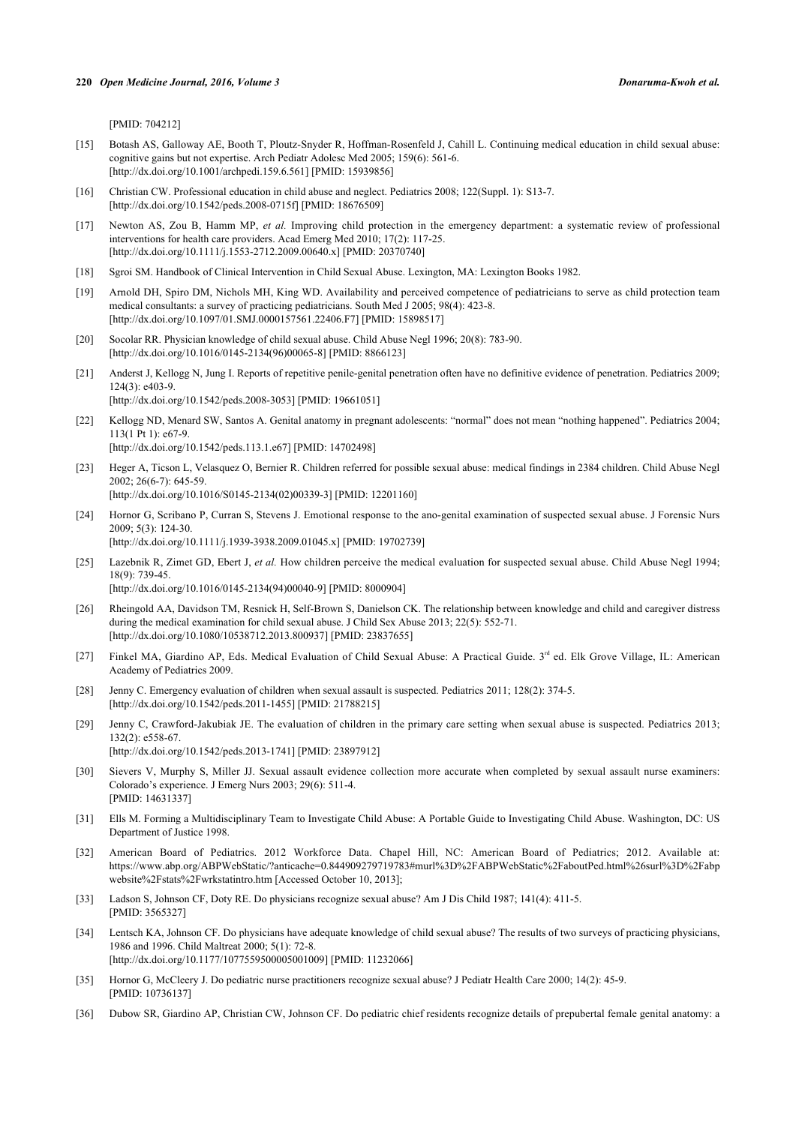[PMID: [704212\]](http://www.ncbi.nlm.nih.gov/pubmed/704212)

- <span id="page-8-0"></span>[15] Botash AS, Galloway AE, Booth T, Ploutz-Snyder R, Hoffman-Rosenfeld J, Cahill L. Continuing medical education in child sexual abuse: cognitive gains but not expertise. Arch Pediatr Adolesc Med 2005; 159(6): 561-6. [\[http://dx.doi.org/10.1001/archpedi.159.6.561](http://dx.doi.org/10.1001/archpedi.159.6.561)] [PMID: [15939856\]](http://www.ncbi.nlm.nih.gov/pubmed/15939856)
- <span id="page-8-1"></span>[16] Christian CW. Professional education in child abuse and neglect. Pediatrics 2008; 122(Suppl. 1): S13-7. [\[http://dx.doi.org/10.1542/peds.2008-0715f\]](http://dx.doi.org/10.1542/peds.2008-0715f) [PMID: [18676509](http://www.ncbi.nlm.nih.gov/pubmed/18676509)]
- <span id="page-8-2"></span>[17] Newton AS, Zou B, Hamm MP, *et al.* Improving child protection in the emergency department: a systematic review of professional interventions for health care providers. Acad Emerg Med 2010; 17(2): 117-25. [\[http://dx.doi.org/10.1111/j.1553-2712.2009.00640.x\]](http://dx.doi.org/10.1111/j.1553-2712.2009.00640.x) [PMID: [20370740](http://www.ncbi.nlm.nih.gov/pubmed/20370740)]
- <span id="page-8-19"></span>[18] Sgroi SM. Handbook of Clinical Intervention in Child Sexual Abuse. Lexington, MA: Lexington Books 1982.
- [19] Arnold DH, Spiro DM, Nichols MH, King WD. Availability and perceived competence of pediatricians to serve as child protection team medical consultants: a survey of practicing pediatricians. South Med J 2005; 98(4): 423-8. [\[http://dx.doi.org/10.1097/01.SMJ.0000157561.22406.F7\]](http://dx.doi.org/10.1097/01.SMJ.0000157561.22406.F7) [PMID: [15898517](http://www.ncbi.nlm.nih.gov/pubmed/15898517)]
- <span id="page-8-3"></span>[20] Socolar RR. Physician knowledge of child sexual abuse. Child Abuse Negl 1996; 20(8): 783-90. [\[http://dx.doi.org/10.1016/0145-2134\(96\)00065-8](http://dx.doi.org/10.1016/0145-2134(96)00065-8)] [PMID: [8866123](http://www.ncbi.nlm.nih.gov/pubmed/8866123)]
- <span id="page-8-4"></span>[21] Anderst J, Kellogg N, Jung I. Reports of repetitive penile-genital penetration often have no definitive evidence of penetration. Pediatrics 2009; 124(3): e403-9. [\[http://dx.doi.org/10.1542/peds.2008-3053](http://dx.doi.org/10.1542/peds.2008-3053)] [PMID: [19661051\]](http://www.ncbi.nlm.nih.gov/pubmed/19661051)
- [22] Kellogg ND, Menard SW, Santos A. Genital anatomy in pregnant adolescents: "normal" does not mean "nothing happened". Pediatrics 2004; 113(1 Pt 1): e67-9. [\[http://dx.doi.org/10.1542/peds.113.1.e67](http://dx.doi.org/10.1542/peds.113.1.e67)] [PMID: [14702498\]](http://www.ncbi.nlm.nih.gov/pubmed/14702498)
- <span id="page-8-5"></span>[23] Heger A, Ticson L, Velasquez O, Bernier R. Children referred for possible sexual abuse: medical findings in 2384 children. Child Abuse Negl  $2002 \cdot 26(6-7) \cdot 645-59$ [\[http://dx.doi.org/10.1016/S0145-2134\(02\)00339-3\]](http://dx.doi.org/10.1016/S0145-2134(02)00339-3) [PMID: [12201160](http://www.ncbi.nlm.nih.gov/pubmed/12201160)]
- <span id="page-8-6"></span>[24] Hornor G, Scribano P, Curran S, Stevens J. Emotional response to the ano-genital examination of suspected sexual abuse. J Forensic Nurs 2009; 5(3): 124-30. [\[http://dx.doi.org/10.1111/j.1939-3938.2009.01045.x\]](http://dx.doi.org/10.1111/j.1939-3938.2009.01045.x) [PMID: [19702739](http://www.ncbi.nlm.nih.gov/pubmed/19702739)]
- <span id="page-8-8"></span>[25] Lazebnik R, Zimet GD, Ebert J, *et al.* How children perceive the medical evaluation for suspected sexual abuse. Child Abuse Negl 1994; 18(9): 739-45. [\[http://dx.doi.org/10.1016/0145-2134\(94\)00040-9](http://dx.doi.org/10.1016/0145-2134(94)00040-9)] [PMID: [8000904](http://www.ncbi.nlm.nih.gov/pubmed/8000904)]
- <span id="page-8-7"></span>[26] Rheingold AA, Davidson TM, Resnick H, Self-Brown S, Danielson CK. The relationship between knowledge and child and caregiver distress during the medical examination for child sexual abuse. J Child Sex Abuse 2013; 22(5): 552-71. [\[http://dx.doi.org/10.1080/10538712.2013.800937\]](http://dx.doi.org/10.1080/10538712.2013.800937) [PMID: [23837655](http://www.ncbi.nlm.nih.gov/pubmed/23837655)]
- <span id="page-8-9"></span>[27] Finkel MA, Giardino AP, Eds. Medical Evaluation of Child Sexual Abuse: A Practical Guide. 3<sup>rd</sup> ed. Elk Grove Village, IL: American Academy of Pediatrics 2009.
- <span id="page-8-10"></span>[28] Jenny C. Emergency evaluation of children when sexual assault is suspected. Pediatrics 2011; 128(2): 374-5. [\[http://dx.doi.org/10.1542/peds.2011-1455](http://dx.doi.org/10.1542/peds.2011-1455)] [PMID: [21788215\]](http://www.ncbi.nlm.nih.gov/pubmed/21788215)
- <span id="page-8-11"></span>[29] Jenny C, Crawford-Jakubiak JE. The evaluation of children in the primary care setting when sexual abuse is suspected. Pediatrics 2013; 132(2): e558-67. [\[http://dx.doi.org/10.1542/peds.2013-1741](http://dx.doi.org/10.1542/peds.2013-1741)] [PMID: [23897912\]](http://www.ncbi.nlm.nih.gov/pubmed/23897912)
- <span id="page-8-12"></span>[30] Sievers V, Murphy S, Miller JJ. Sexual assault evidence collection more accurate when completed by sexual assault nurse examiners: Colorado's experience. J Emerg Nurs 2003; 29(6): 511-4. [PMID: [14631337\]](http://www.ncbi.nlm.nih.gov/pubmed/14631337)
- <span id="page-8-13"></span>[31] Ells M. Forming a Multidisciplinary Team to Investigate Child Abuse: A Portable Guide to Investigating Child Abuse. Washington, DC: US Department of Justice 1998.
- <span id="page-8-14"></span>[32] American Board of Pediatrics. 2012 Workforce Data. Chapel Hill, NC: American Board of Pediatrics; 2012. Available at: [https://www.abp.org/ABPWebStatic/?anticache=0.844909279719783#murl%3D%2FABPWebStatic%2FaboutPed.html%26surl%3D%2Fabp](https://www.abp.org/ABPWebStatic/?anticache=0.844909279719783#murl%3D%2FABPWebStatic%2FaboutPed.html%26surl%3D%2Fabpwebsite%2Fstats%2Fwrkstatintro.htm) [website%2Fstats%2Fwrkstatintro.htm](https://www.abp.org/ABPWebStatic/?anticache=0.844909279719783#murl%3D%2FABPWebStatic%2FaboutPed.html%26surl%3D%2Fabpwebsite%2Fstats%2Fwrkstatintro.htm) [Accessed October 10, 2013];
- <span id="page-8-15"></span>[33] Ladson S, Johnson CF, Doty RE. Do physicians recognize sexual abuse? Am J Dis Child 1987; 141(4): 411-5. [PMID: [3565327\]](http://www.ncbi.nlm.nih.gov/pubmed/3565327)
- <span id="page-8-17"></span>[34] Lentsch KA, Johnson CF. Do physicians have adequate knowledge of child sexual abuse? The results of two surveys of practicing physicians, 1986 and 1996. Child Maltreat 2000; 5(1): 72-8. [\[http://dx.doi.org/10.1177/1077559500005001009\]](http://dx.doi.org/10.1177/1077559500005001009) [PMID: [11232066](http://www.ncbi.nlm.nih.gov/pubmed/11232066)]
- <span id="page-8-16"></span>[35] Hornor G, McCleery J. Do pediatric nurse practitioners recognize sexual abuse? J Pediatr Health Care 2000; 14(2): 45-9. [PMID: [10736137\]](http://www.ncbi.nlm.nih.gov/pubmed/10736137)
- <span id="page-8-18"></span>[36] Dubow SR, Giardino AP, Christian CW, Johnson CF. Do pediatric chief residents recognize details of prepubertal female genital anatomy: a